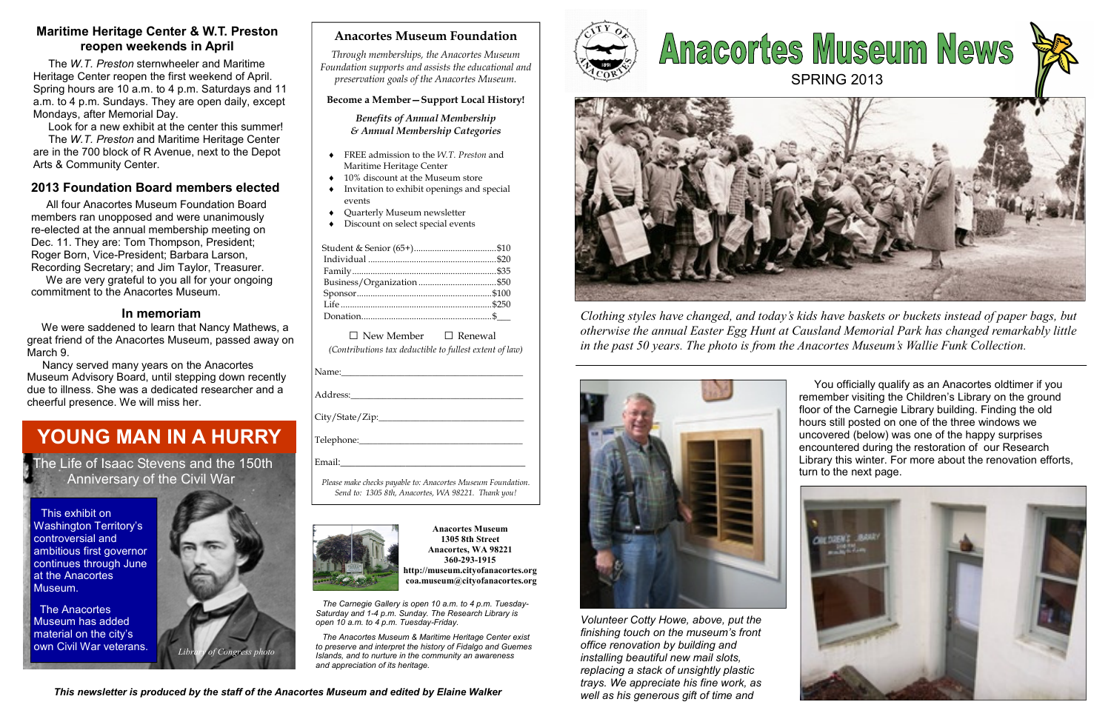### Anacortes Museum Foundation

Through memberships, the Anacortes Museum Foundation supports and assists the educational andpreservation goals of the Anacortes Museum.

### Become a Member—Support Local History!

Benefits of Annual Membership & Annual Membership Categories

 $\Box$  New Member  $\Box$  Renewal (Contributions tax deductible to fullest extent of law)

Student & Senior (65+)....................................\$10 Individual ........................................................\$20 Family...............................................................\$35 Business/Organization ..................................\$50 Sponsor...........................................................\$100 Life ..................................................................\$250 Donation.........................................................\$\_\_\_

 The Anacortes Museum has added material on the city's own Civil War veterans.  $\begin{array}{c} \begin{array}{c} \end{array}$  Library of Congress photo



Please make checks payable to: Anacortes Museum Foundation. Send to: 1305 8th, Anacortes, WA 98221. Thank you!



- ♦ FREE admission to the W.T. Preston and Maritime Heritage Center
- ♦ 10% discount at the Museum store
- ♦ Invitation to exhibit openings and special events
- ♦ Quarterly Museum newsletter
- ♦ Discount on select special events

Anacortes Museum 1305 8th Street Anacortes, WA 98221 360-293-1915 http://museum.cityofanacortes.org coa.museum@cityofanacortes.org

 The Carnegie Gallery is open 10 a.m. to 4 p.m. Tuesday-Saturday and 1-4 p.m. Sunday. The Research Library is open 10 a.m. to 4 p.m. Tuesday-Friday.

# **Anacortes Museum News** SPRING 2013



 The Anacortes Museum & Maritime Heritage Center exist to preserve and interpret the history of Fidalgo and Guemes Islands, and to nurture in the community an awareness and appreciation of its heritage.







# YOUNG MAN IN A HURRY

This exhibit on Washington Territory's controversial and ambitious first governor continues through June at the Anacortes Museum.

 The Life of Isaac Stevens and the 150th Anniversary of the Civil War

### Maritime Heritage Center & W.T. Preston reopen weekends in April

 The W.T. Preston sternwheeler and Maritime Heritage Center reopen the first weekend of April. Spring hours are 10 a.m. to 4 p.m. Saturdays and 11 a.m. to 4 p.m. Sundays. They are open daily, exceptMondays, after Memorial Day.

Look for a new exhibit at the center this summer!

 The W.T. Preston and Maritime Heritage Center are in the 700 block of R Avenue, next to the DepotArts & Community Center.

### 2013 Foundation Board members elected

All four Anacortes Museum Foundation Board members ran unopposed and were unanimously re-elected at the annual membership meeting on Dec. 11. They are: Tom Thompson, President; Roger Born, Vice-President; Barbara Larson, Recording Secretary; and Jim Taylor, Treasurer.

 We are very grateful to you all for your ongoing commitment to the Anacortes Museum.

### In memoriam

 We were saddened to learn that Nancy Mathews, a great friend of the Anacortes Museum, passed away on March 9.

 Nancy served many years on the Anacortes Museum Advisory Board, until stepping down recently due to illness. She was a dedicated researcher and a cheerful presence. We will miss her.

Clothing styles have changed, and today's kids have baskets or buckets instead of paper bags, but otherwise the annual Easter Egg Hunt at Causland Memorial Park has changed remarkably little



in the past 50 years. The photo is from the Anacortes Museum's Wallie Funk Collection.



Volunteer Cotty Howe, above, put the finishing touch on the museum's front office renovation by building and installing beautiful new mail slots, replacing a stack of unsightly plastic trays. We appreciate his fine work, as well as his generous gift of time and

 You officially qualify as an Anacortes oldtimer if you remember visiting the Children's Library on the ground floor of the Carnegie Library building. Finding the old hours still posted on one of the three windows we uncovered (below) was one of the happy surprises encountered during the restoration of our Research Library this winter. For more about the renovation efforts, turn to the next page.